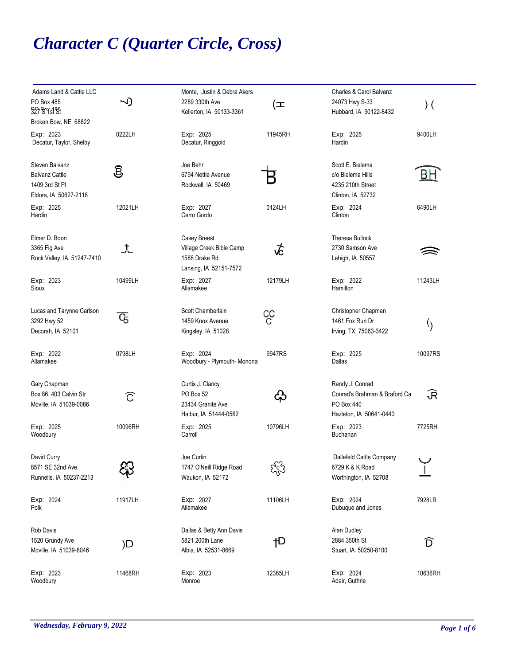## *Character C (Quarter Circle, Cross)*

| Adams Land & Cattle LLC<br>PO Box 485<br>327 S Y st St                             | <b>J)</b> | Monte, Justin & Debra Akers<br>2289 330th Ave<br>Kellerton, IA 50133-3361           | (≖      | Charles & Carol Balvanz<br>24073 Hwy S-33<br>Hubbard, IA 50122-8432                       | $)$ (             |
|------------------------------------------------------------------------------------|-----------|-------------------------------------------------------------------------------------|---------|-------------------------------------------------------------------------------------------|-------------------|
| Broken Bow, NE 68822                                                               |           |                                                                                     |         |                                                                                           |                   |
| Exp: 2023<br>Decatur, Taylor, Shelby                                               | 0222LH    | Exp: 2025<br>Decatur, Ringgold                                                      | 11945RH | Exp: 2025<br>Hardin                                                                       | 9400LH            |
| Steven Balvanz<br><b>Balvanz Cattle</b><br>1409 3rd St PI<br>Eldora, IA 50627-2118 | ම්        | Joe Behr<br>6794 Nettle Avenue<br>Rockwell, IA 50469                                |         | Scott E. Bielema<br>c/o Bielema Hills<br>4235 210th Street<br>Clinton, IA 52732           | В۲                |
| Exp: 2025<br>Hardin                                                                | 12021LH   | Exp: 2027<br>Cerro Gordo                                                            | 0124LH  | Exp: 2024<br>Clinton                                                                      | 6490LH            |
| Elmer D. Boon<br>3365 Fig Ave<br>Rock Valley, IA 51247-7410                        | ᄎ         | Casey Breest<br>Village Creek Bible Camp<br>1588 Drake Rd<br>Lansing, IA 52151-7572 | よ       | <b>Theresa Bullock</b><br>2730 Samson Ave<br>Lehigh, IA 50557                             |                   |
| Exp: 2023<br>Sioux                                                                 | 10499LH   | Exp: 2027<br>Allamakee                                                              | 12179LH | Exp: 2022<br>Hamilton                                                                     | 11243LH           |
| Lucas and Tarynne Carlson<br>3292 Hwy 52<br>Decorah, IA 52101                      | C5        | Scott Chamberlain<br>1459 Knox Avenue<br>Kingsley, IA 51028                         | င္ပင    | Christopher Chapman<br>1461 Fox Run Dr<br>Irving, TX 75063-3422                           | $\langle \rangle$ |
| Exp: 2022<br>Allamakee                                                             | 0798LH    | Exp: 2024<br>Woodbury - Plymouth- Monona                                            | 9947RS  | Exp: 2025<br>Dallas                                                                       | 10097RS           |
| Gary Chapman<br>Box 86, 403 Calvin Str<br>Moville, IA 51039-0086                   | ි         | Curtis J. Clancy<br>PO Box 52<br>23434 Granite Ave<br>Halbur, IA 51444-0562         | ද}      | Randy J. Conrad<br>Conrad's Brahman & Braford Ca<br>PO Box 440<br>Hazleton, IA 50641-0440 | R                 |
| Exp: 2025<br>Woodbury                                                              | 10096RH   | Exp: 2025<br>Carroll                                                                | 10796LH | Exp: 2023<br>Buchanan                                                                     | 7725RH            |
| David Curry<br>8571 SE 32nd Ave<br>Runnells, IA 50237-2213                         |           | Joe Curtin<br>1747 O'Neill Ridge Road<br>Waukon, IA 52172                           |         | Dallefeld Cattle Company<br>6729 K & K Road<br>Worthington, IA 52708                      |                   |
| Exp: 2024<br>Polk                                                                  | 11917LH   | Exp: 2027<br>Allamakee                                                              | 11106LH | Exp: 2024<br>Dubuque and Jones                                                            | 7928LR            |
| Rob Davis<br>1520 Grundy Ave<br>Moville, IA 51039-8046                             | )D        | Dallas & Betty Ann Davis<br>5821 200th Lane<br>Albia, IA 52531-8669                 | †⊃      | Alan Dudley<br>2884 350th St<br>Stuart, IA 50250-8100                                     | D                 |
| Exp: 2023<br>Woodbury                                                              | 11468RH   | Exp: 2023<br>Monroe                                                                 | 12365LH | Exp: 2024<br>Adair, Guthrie                                                               | 10636RH           |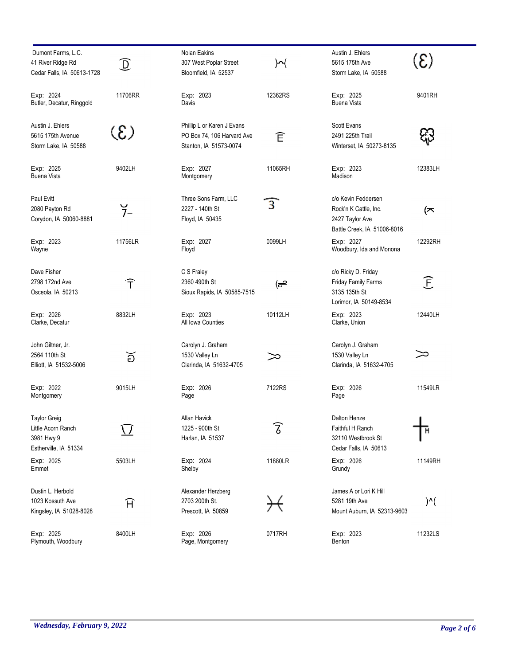| Dumont Farms, L.C.<br>41 River Ridge Rd<br>Cedar Falls, IA 50613-1728            | $\mathbb D$   | Nolan Eakins<br>307 West Poplar Street<br>Bloomfield, IA 52537                     | M                       | Austin J. Ehlers<br>5615 175th Ave<br>Storm Lake, IA 50588                                     | $\left( 3\right)$      |
|----------------------------------------------------------------------------------|---------------|------------------------------------------------------------------------------------|-------------------------|------------------------------------------------------------------------------------------------|------------------------|
| Exp: 2024<br>Butler, Decatur, Ringgold                                           | 11706RR       | Exp: 2023<br>Davis                                                                 | 12362RS                 | Exp: 2025<br><b>Buena Vista</b>                                                                | 9401RH                 |
| Austin J. Ehlers<br>5615 175th Avenue<br>Storm Lake, IA 50588                    | $\circledS$   | Phillip L or Karen J Evans<br>PO Box 74, 106 Harvard Ave<br>Stanton, IA 51573-0074 | Ê                       | Scott Evans<br>2491 225th Trail<br>Winterset, IA 50273-8135                                    |                        |
| Exp: 2025<br>Buena Vista                                                         | 9402LH        | Exp: 2027<br>Montgomery                                                            | 11065RH                 | Exp: 2023<br>Madison                                                                           | 12383LH                |
| Paul Evitt<br>2080 Payton Rd<br>Corydon, IA 50060-8881                           | $\frac{6}{7}$ | Three Sons Farm, LLC<br>2227 - 140th St<br>Floyd, IA 50435                         | 3                       | c/o Kevin Feddersen<br>Rock'n K Cattle, Inc.<br>2427 Taylor Ave<br>Battle Creek, IA 51006-8016 | (≍                     |
| Exp: 2023<br>Wayne                                                               | 11756LR       | Exp: 2027<br>Floyd                                                                 | 0099LH                  | Exp: 2027<br>Woodbury, Ida and Monona                                                          | 12292RH                |
| Dave Fisher<br>2798 172nd Ave<br>Osceola, IA 50213                               | Ŧ             | C S Fraley<br>2360 490th St<br>Sioux Rapids, IA 50585-7515                         | (ക                      | c/o Ricky D. Friday<br>Friday Family Farms<br>3135 135th St<br>Lorimor, IA 50149-8534          | $\widehat{\mathsf{E}}$ |
| Exp: 2026<br>Clarke, Decatur                                                     | 8832LH        | Exp: 2023<br>All Iowa Counties                                                     | 10112LH                 | Exp: 2023<br>Clarke, Union                                                                     | 12440LH                |
| John Giltner, Jr.<br>2564 110th St<br>Elliott, IA 51532-5006                     | ้อี           | Carolyn J. Graham<br>1530 Valley Ln<br>Clarinda, IA 51632-4705                     |                         | Carolyn J. Graham<br>1530 Valley Ln<br>Clarinda, IA 51632-4705                                 | ∞                      |
| Exp: 2022<br>Montgomery                                                          | 9015LH        | Exp: 2026<br>Page                                                                  | 7122RS                  | Exp: 2026<br>Page                                                                              | 11549LR                |
| <b>Taylor Greig</b><br>Little Acorn Ranch<br>3981 Hwy 9<br>Estherville, IA 51334 |               | Allan Havick<br>1225 - 900th St<br>Harlan, IA 51537                                | $\widehat{\mathcal{Z}}$ | Dalton Henze<br>Faithful H Ranch<br>32110 Westbrook St<br>Cedar Falls, IA 50613                | н                      |
| Exp: 2025<br>Emmet                                                               | 5503LH        | Exp: 2024<br>Shelby                                                                | 11880LR                 | Exp: 2026<br>Grundy                                                                            | 11149RH                |
| Dustin L. Herbold<br>1023 Kossuth Ave<br>Kingsley, IA 51028-8028                 | A             | Alexander Herzberg<br>2703 200th St.<br>Prescott, IA 50859                         |                         | James A or Lori K Hill<br>5281 19th Ave<br>Mount Auburn, IA 52313-9603                         | $)^{\wedge}$           |
| Exp: 2025<br>Plymouth, Woodbury                                                  | 8400LH        | Exp: 2026<br>Page, Montgomery                                                      | 0717RH                  | Exp: 2023<br>Benton                                                                            | 11232LS                |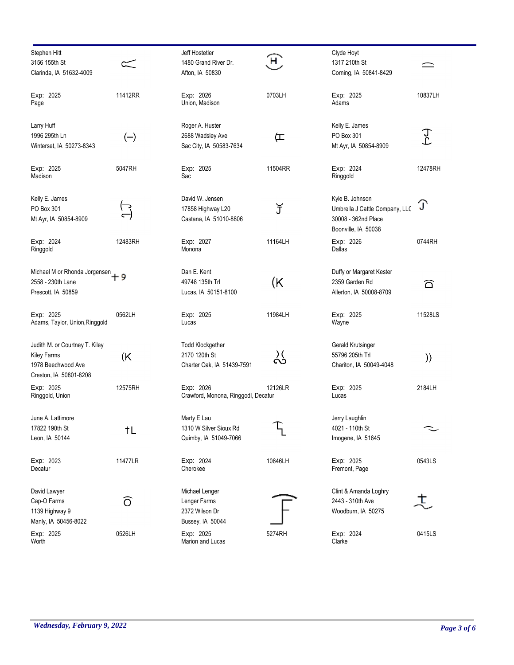| Stephen Hitt<br>3156 155th St<br>Clarinda, IA 51632-4009                                             |         | Jeff Hostetler<br>1480 Grand River Dr.<br>Afton, IA 50830              | $\left( \mathsf{H}\right)$ | Clyde Hoyt<br>1317 210th St<br>Corning, IA 50841-8429                                           |                |
|------------------------------------------------------------------------------------------------------|---------|------------------------------------------------------------------------|----------------------------|-------------------------------------------------------------------------------------------------|----------------|
| Exp: 2025<br>Page                                                                                    | 11412RR | Exp: 2026<br>Union, Madison                                            | 0703LH                     | Exp: 2025<br>Adams                                                                              | 10837LH        |
| Larry Huff<br>1996 295th Ln<br>Winterset, IA 50273-8343                                              | $(-)$   | Roger A. Huster<br>2688 Wadsley Ave<br>Sac City, IA 50583-7634         | 匞                          | Kelly E. James<br>PO Box 301<br>Mt Ayr, IA 50854-8909                                           | $\mathfrak{T}$ |
| Exp: 2025<br>Madison                                                                                 | 5047RH  | Exp: 2025<br>Sac                                                       | 11504RR                    | Exp: 2024<br>Ringgold                                                                           | 12478RH        |
| Kelly E. James<br>PO Box 301<br>Mt Ayr, IA 50854-8909                                                |         | David W. Jensen<br>17858 Highway L20<br>Castana, IA 51010-8806         | J                          | Kyle B. Johnson<br>Umbrella J Cattle Company, LLC<br>30008 - 362nd Place<br>Boonville, IA 50038 | T              |
| Exp: 2024<br>Ringgold                                                                                | 12483RH | Exp: 2027<br>Monona                                                    | 11164LH                    | Exp: 2026<br>Dallas                                                                             | 0744RH         |
| Michael M or Rhonda Jorgensen<br>2558 - 230th Lane<br>Prescott, IA 50859                             | - 9     | Dan E. Kent<br>49748 135th Trl<br>Lucas, IA 50151-8100                 | (K                         | Duffy or Margaret Kester<br>2359 Garden Rd<br>Allerton, IA 50008-8709                           | ධ              |
| Exp: 2025<br>Adams, Taylor, Union, Ringgold                                                          | 0562LH  | Exp: 2025<br>Lucas                                                     | 11984LH                    | Exp: 2025<br>Wayne                                                                              | 11528LS        |
| Judith M. or Courtney T. Kiley<br><b>Kiley Farms</b><br>1978 Beechwood Ave<br>Creston, IA 50801-8208 | (K      | <b>Todd Klockgether</b><br>2170 120th St<br>Charter Oak, IA 51439-7591 | ္လိ                        | Gerald Krutsinger<br>55796 205th Trl<br>Chariton, IA 50049-4048                                 | ))             |
| Exp: 2025<br>Ringgold, Union                                                                         | 12575RH | Exp: 2026<br>Crawford, Monona, Ringgodl, Decatur                       | 12126LR                    | Exp: 2025<br>Lucas                                                                              | 2184LH         |
| June A. Lattimore<br>17822 190th St<br>Leon, IA 50144                                                | †L      | Marty E Lau<br>1310 W Silver Sioux Rd<br>Quimby, IA 51049-7066         |                            | Jerry Laughlin<br>4021 - 110th St<br>Imogene, IA 51645                                          |                |
| Exp: 2023<br>Decatur                                                                                 | 11477LR | Exp: 2024<br>Cherokee                                                  | 10646LH                    | Exp: 2025<br>Fremont, Page                                                                      | 0543LS         |
| David Lawyer<br>Cap-O Farms<br>1139 Highway 9<br>Manly, IA 50456-8022                                | Ō       | Michael Lenger<br>Lenger Farms<br>2372 Wilson Dr<br>Bussey, IA 50044   |                            | Clint & Amanda Loghry<br>2443 - 310th Ave<br>Woodburn, IA 50275                                 | ξ.             |
| Exp: 2025<br>Worth                                                                                   | 0526LH  | Exp: 2025<br>Marion and Lucas                                          | 5274RH                     | Exp: 2024<br>Clarke                                                                             | 0415LS         |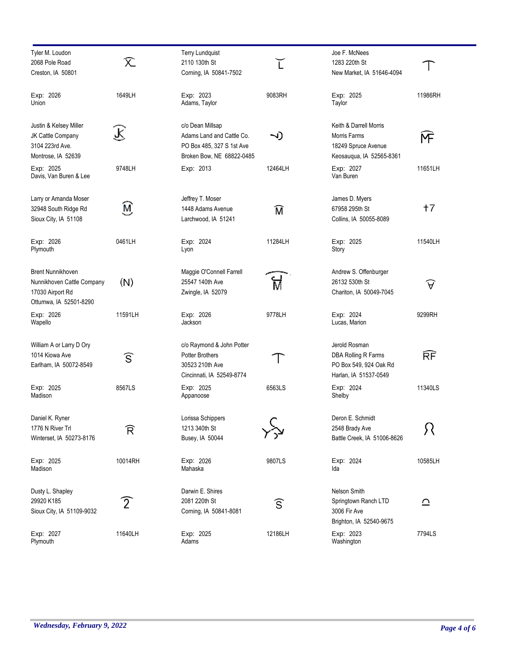| Tyler M. Loudon<br>2068 Pole Road                                                                    | R                      | <b>Terry Lundquist</b><br>2110 130th St                                                                 |                        | Joe F. McNees<br>1283 220th St                                                            |                     |
|------------------------------------------------------------------------------------------------------|------------------------|---------------------------------------------------------------------------------------------------------|------------------------|-------------------------------------------------------------------------------------------|---------------------|
| Creston, IA 50801                                                                                    |                        | Corning, IA 50841-7502                                                                                  |                        | New Market, IA 51646-4094                                                                 |                     |
| Exp: 2026<br>Union                                                                                   | 1649LH                 | Exp: 2023<br>Adams, Taylor                                                                              | 9083RH                 | Exp: 2025<br>Taylor                                                                       | 11986RH             |
| Justin & Kelsey Miller<br>JK Cattle Company<br>3104 223rd Ave.<br>Montrose, IA 52639                 | R                      | c/o Dean Millsap<br>Adams Land and Cattle Co.<br>PO Box 485, 327 S 1st Ave<br>Broken Bow, NE 68822-0485 | ~1)                    | Keith & Darrell Morris<br>Morris Farms<br>18249 Spruce Avenue<br>Keosauqua, IA 52565-8361 | ĺΨ                  |
| Exp: 2025<br>Davis, Van Buren & Lee                                                                  | 9748LH                 | Exp: 2013                                                                                               | 12464LH                | Exp: 2027<br>Van Buren                                                                    | 11651LH             |
| Larry or Amanda Moser<br>32948 South Ridge Rd<br>Sioux City, IA 51108                                | Ñ                      | Jeffrey T. Moser<br>1448 Adams Avenue<br>Larchwood, IA 51241                                            | ิฬิ                    | James D. Myers<br>67958 295th St<br>Collins, IA 50055-8089                                | $+7$                |
| Exp: 2026<br>Plymouth                                                                                | 0461LH                 | Exp: 2024<br>Lyon                                                                                       | 11284LH                | Exp: 2025<br>Story                                                                        | 11540LH             |
| <b>Brent Nunnikhoven</b><br>Nunnikhoven Cattle Company<br>17030 Airport Rd<br>Ottumwa, IA 52501-8290 | (N)                    | Maggie O'Connell Farrell<br>25547 140th Ave<br>Zwingle, IA 52079                                        |                        | Andrew S. Offenburger<br>26132 530th St<br>Chariton, IA 50049-7045                        | $\widehat{\forall}$ |
| Exp: 2026<br>Wapello                                                                                 | 11591LH                | Exp: 2026<br>Jackson                                                                                    | 9778LH                 | Exp: 2024<br>Lucas, Marion                                                                | 9299RH              |
| William A or Larry D Ory<br>1014 Kiowa Ave<br>Earlham, IA 50072-8549                                 | $\widehat{\mathsf{S}}$ | c/o Raymond & John Potter<br><b>Potter Brothers</b><br>30523 210th Ave<br>Cincinnati, IA 52549-8774     |                        | Jerold Rosman<br>DBA Rolling R Farms<br>PO Box 549, 924 Oak Rd<br>Harlan, IA 51537-0549   | RF                  |
| Exp: 2025<br>Madison                                                                                 | 8567LS                 | Exp: 2025<br>Appanoose                                                                                  | 6563LS                 | Exp: 2024<br>Shelby                                                                       | 11340LS             |
| Daniel K. Ryner<br>1776 N River Trl<br>Winterset, IA 50273-8176                                      | R                      | Lorissa Schippers<br>1213 340th St<br>Busey, IA 50044                                                   |                        | Deron E. Schmidt<br>2548 Brady Ave<br>Battle Creek, IA 51006-8626                         | Я                   |
| Exp: 2025<br>Madison                                                                                 | 10014RH                | Exp: 2026<br>Mahaska                                                                                    | 9807LS                 | Exp: 2024<br>Ida                                                                          | 10585LH             |
| Dusty L. Shapley<br>29920 K185<br>Sioux City, IA 51109-9032                                          | $\left[2\right]$       | Darwin E. Shires<br>2081 220th St<br>Corning, IA 50841-8081                                             | $\widehat{\mathsf{S}}$ | Nelson Smith<br>Springtown Ranch LTD<br>3006 Fir Ave<br>Brighton, IA 52540-9675           | ≏                   |
| Exp: 2027<br>Plymouth                                                                                | 11640LH                | Exp: 2025<br>Adams                                                                                      | 12186LH                | Exp: 2023<br>Washington                                                                   | 7794LS              |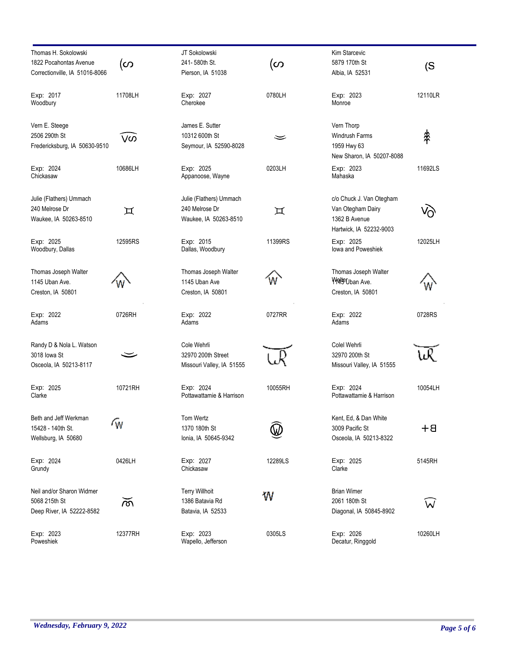| Thomas H. Sokolowski<br>1822 Pocahontas Avenue<br>Correctionville, IA 51016-8066 | (ဟ      | JT Sokolowski<br>241-580th St.<br>Pierson, IA 51038                | (ဟ      | Kim Starcevic<br>5879 170th St<br>Albia, IA 52531                                         | (S)     |
|----------------------------------------------------------------------------------|---------|--------------------------------------------------------------------|---------|-------------------------------------------------------------------------------------------|---------|
| Exp: 2017<br>Woodbury                                                            | 11708LH | Exp: 2027<br>Cherokee                                              | 0780LH  | Exp: 2023<br>Monroe                                                                       | 12110LR |
| Vern E. Steege<br>2506 290th St<br>Fredericksburg, IA 50630-9510                 | ັ∨ທັ    | James E. Sutter<br>10312 600th St<br>Seymour, IA 52590-8028        | ≍       | Vern Thorp<br>Windrush Farms<br>1959 Hwy 63<br>New Sharon, IA 50207-8088                  | ♯       |
| Exp: 2024<br>Chickasaw                                                           | 10686LH | Exp: 2025<br>Appanoose, Wayne                                      | 0203LH  | Exp: 2023<br>Mahaska                                                                      | 11692LS |
| Julie (Flathers) Ummach<br>240 Melrose Dr<br>Waukee, IA 50263-8510               | ロ       | Julie (Flathers) Ummach<br>240 Melrose Dr<br>Waukee, IA 50263-8510 | 耳       | c/o Chuck J. Van Otegham<br>Van Otegham Dairy<br>1362 B Avenue<br>Hartwick, IA 52232-9003 |         |
| Exp: 2025<br>Woodbury, Dallas                                                    | 12595RS | Exp: 2015<br>Dallas, Woodbury                                      | 11399RS | Exp: 2025<br>lowa and Poweshiek                                                           | 12025LH |
| Thomas Joseph Walter<br>1145 Uban Ave.<br>Creston, IA 50801                      |         | Thomas Joseph Walter<br>1145 Uban Ave<br>Creston, IA 50801         |         | Thomas Joseph Walter<br>Wo ban Ave.<br>Creston, IA 50801                                  |         |
| Exp: 2022<br>Adams                                                               | 0726RH  | Exp: 2022<br>Adams                                                 | 0727RR  | Exp: 2022<br>Adams                                                                        | 0728RS  |
| Randy D & Nola L. Watson<br>3018 lowa St<br>Osceola, IA 50213-8117               |         | Cole Wehrli<br>32970 200th Street<br>Missouri Valley, IA 51555     |         | Colel Wehrli<br>32970 200th St<br>Missouri Valley, IA 51555                               |         |
| Exp: 2025<br>Clarke                                                              | 10721RH | Exp: 2024<br>Pottawattamie & Harrison                              | 10055RH | Exp: 2024<br>Pottawattamie & Harrison                                                     | 10054LH |
| Beth and Jeff Werkman<br>15428 - 140th St.<br>Wellsburg, IA 50680                | ſw      | Tom Wertz<br>1370 180th St<br>Ionia, IA 50645-9342                 |         | Kent, Ed, & Dan White<br>3009 Pacific St<br>Osceola, IA 50213-8322                        | $B+$    |
| Exp: 2024<br>Grundy                                                              | 0426LH  | Exp: 2027<br>Chickasaw                                             | 12289LS | Exp: 2025<br>Clarke                                                                       | 5145RH  |
| Neil and/or Sharon Widmer<br>5068 215th St<br>Deep River, IA 52222-8582          | ळ       | <b>Terry Willhoit</b><br>1386 Batavia Rd<br>Batavia, IA 52533      | W       | <b>Brian Wimer</b><br>2061 180th St<br>Diagonal, IA 50845-8902                            | W       |
| Exp: 2023<br>Poweshiek                                                           | 12377RH | Exp: 2023<br>Wapello, Jefferson                                    | 0305LS  | Exp: 2026<br>Decatur, Ringgold                                                            | 10260LH |